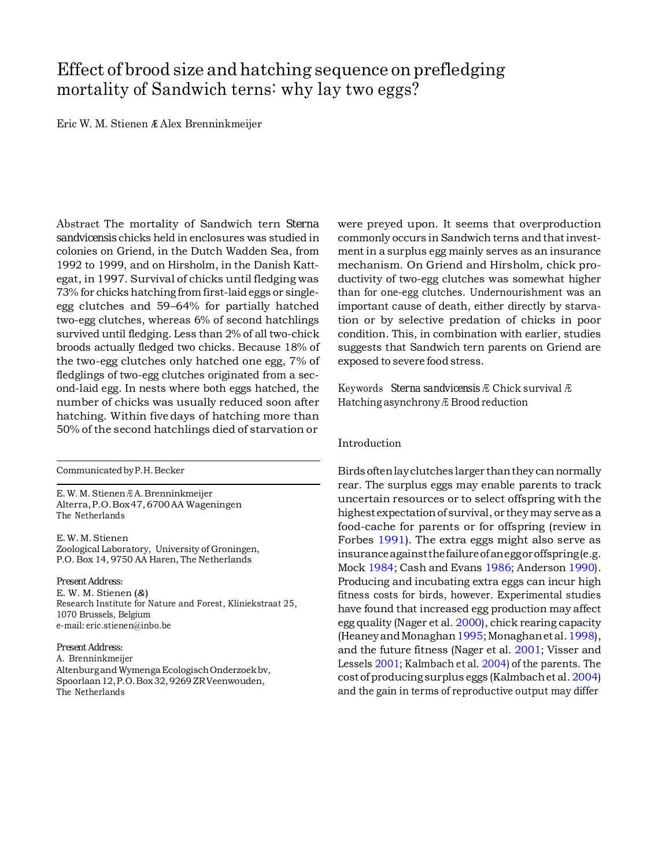# Effect of brood size and hatching sequence on prefledging mortality of Sandwich terns: why lay two eggs?

Eric W. M. Stienen **<sup>Æ</sup>** Alex Brenninkmeijer

Abstract The mortality of Sandwich tern *Sterna sandvicensis* chicks held in enclosures was studied in colonies on Griend, in the Dutch Wadden Sea, from 1992 to 1999, and on Hirsholm, in the Danish Kattegat, in 1997. Survival of chicks until fledging was 73% for chicks hatching from first-laid eggs or singleegg clutches and 59–64% for partially hatched two-egg clutches, whereas 6% of second hatchlings survived until fledging. Less than 2% of all two-chick broods actually fledged two chicks. Because 18% of the two-egg clutches only hatched one egg, 7% of fledglings of two-egg clutches originated from a second-laid egg. In nests where both eggs hatched, the number of chicks was usually reduced soon after hatching. Within five days of hatching more than 50% of the second hatchlings died of starvation or

CommunicatedbyP.H.Becker

E.W. M.Stienen <sup>Æ</sup> A.Brenninkmeijer Alterra,P.O.Box47,6700AA Wageningen The Netherlands

E.W.M.Stienen Zoological Laboratory, University of Groningen, P.O. Box 14, 9750 AA Haren, The Netherlands

#### *Present Address:*

E. W. M. Stienen (*&*) Research Institute for Nature and Forest, Kliniekstraat 25, 1070 Brussels, Belgium e-mail: [eric.stienen@inbo.be](mailto:eric.stienen@inbo.be)

#### *Present Address:*

A. Brenninkmeijer Altenburgand Wymenga Ecologisch Onderzoek bv, Spoorlaan12,P.O.Box32, 9269 ZRVeenwouden, The Netherlands

were preyed upon. It seems that overproduction commonly occurs in Sandwich terns and thatinvestment in a surplus egg mainly serves as an insurance mechanism. On Griend and Hirsholm, chick productivity of two-egg clutches was somewhat higher than for one-egg clutches. Undernourishment was an important cause of death, either directly by starvation or by selective predation of chicks in poor condition. This, in combination with earlier, studies suggests that Sandwich tern parents on Griend are exposed to severe food stress.

Keywords *Sterna sandvicensis* <sup>Æ</sup> Chick survival <sup>Æ</sup> Hatching asynchrony <sup>Æ</sup> Brood reduction

#### Introduction

Birds oftenlayclutches larger thanthey cannormally rear. The surplus eggs may enable parents to track uncertain resources or to select offspring with the highest expectation of survival, or they may serve as a food-cache for parents or for offspring (review in Forbes [1991\)](#page-10-0). The extra eggs might also serve as insuranceagainstthefailureofaneggoroffspring(e.g. Mock [1984;](#page-10-1) Cash and Evans [1986;](#page-10-2) Anderson [1990\)](#page-10-3). Producing and incubating extra eggs can incur high fitness costs for birds, however. Experimental studies have found that increased egg production may affect egg quality (Nager et al. [2000\)](#page-10-4), chick rearing capacity (HeaneyandMonagha[n1995;](#page-10-5)Monaghanetal[.1998\)](#page-10-6), and the future fitness (Nager et al. [2001;](#page-10-7) Visser and Lessels [2001;](#page-11-0) Kalmbach et al. [2004\)](#page-10-5) of the parents. The costof producingsurplus eggs (Kalmbachet al. [2004\)](#page-10-5) and the gain in terms of reproductive output may differ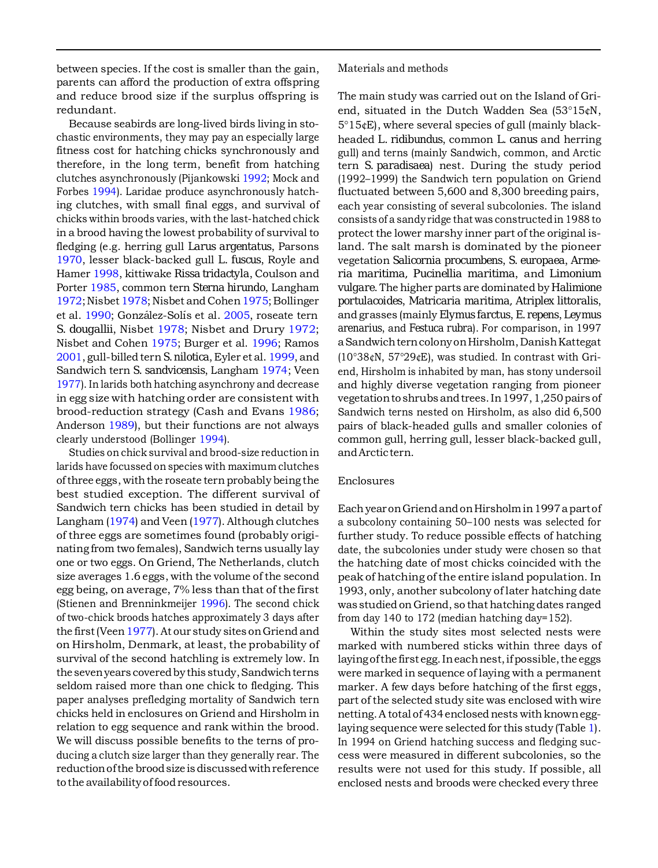between species. If the cost is smaller than the gain, parents can afford the production of extra offspring and reduce brood size if the surplus offspring is redundant.

Because seabirds are long-lived birds living in stochastic environments, they may pay an especially large fitness cost for hatching chicks synchronously and therefore, in the long term, benefit from hatching clutches asynchronously (Pijankowski [1992;](#page-11-0) Mock and Forbes [1994\)](#page-10-8). Laridae produce asynchronously hatching clutches, with small final eggs, and survival of chicks within broods varies, with the last-hatched chick in a brood having the lowest probability of survival to fledging (e.g. herring gull *Larus argentatus*, Parsons [1970,](#page-11-0) lesser black-backed gull *L. fuscus*, Royle and Hamer [1998,](#page-11-0) kittiwake *Rissa tridactyla*, Coulson and Porter [1985,](#page-10-9) common tern *Sterna hirundo*, Langham [1972;](#page-10-5) Nisbet [1978;](#page-10-10) Nisbet and Cohen 1975; Bollinger et al. [1990;](#page-10-12) González-Solís et al. [2005,](#page-10-5) roseate tern *S. dougallii*, Nisbet [1978;](#page-10-10) Nisbet and Drury [1972;](#page-10-0) Nisbet and Cohen [1975;](#page-10-11) Burger et al. [1996;](#page-10-13) Ramos [2001,](#page-11-0) gull-billed tern*S. nilotica*, Eyler et al. [1999,](#page-10-11) and Sandwich tern *S. sandvicensis*, Langham [1974;](#page-10-5) Veen [1977\).](#page-11-0) In larids both hatching asynchrony and decrease in egg size with hatching order are consistent with brood-reduction strategy (Cash and Evans [1986;](#page-10-2) Anderson [1989\)](#page-10-5), but their functions are not always clearly understood (Bollinger [1994\)](#page-10-14).

Studies on chick survival and brood-size reduction in larids have focussed on species with maximum clutches of three eggs, with the roseate tern probably being the best studied exception. The different survival of Sandwich tern chicks has been studied in detail by Langham [\(1974\)](#page-10-5) and Veen [\(1977\)](#page-11-0). Although clutches of three eggs are sometimes found (probably originating from two females), Sandwich terns usually lay one or two eggs. On Griend, The Netherlands, clutch size averages 1.6 eggs, with the volume of the second egg being, on average, 7% less than that of the first (Stienen and Brenninkmeijer [1996\)](#page-11-0). The second chick of two-chick broods hatches approximately 3 days after the first (Veen 1977). At our study sites on Griend and on Hirsholm, Denmark, at least, the probability of survival of the second hatchling is extremely low. In the seven years covered by this study, Sandwich terns seldom raised more than one chick to fledging. This paper analyses prefledging mortality of Sandwich tern chicks held in enclosures on Griend and Hirsholm in relation to egg sequence and rank within the brood. We will discuss possible benefits to the terns of producing a clutch size larger than they generally rear. The reductionofthe broodsize isdiscussedwithreference to the availabilityof foodresources.

Materials and methods

The main study was carried out on the Island of Griend, situated in the Dutch Wadden Sea (53°15¢N, 5°15¢E), where several species of gull (mainly blackheaded *L. ridibundus*, common *L. canus* and herring gull) and terns (mainly Sandwich, common, and Arctic tern *S. paradisaea*) nest. During the study period (1992–1999) the Sandwich tern population on Griend fluctuated between 5,600 and 8,300 breeding pairs, each year consisting of several subcolonies. The island consists of a sandy ridge that was constructedin 1988 to protect the lower marshy inner part of the original island. The salt marsh is dominated by the pioneer vegetation *Salicornia procumbens*, *S. europaea*, *Armeria maritima, Pucinellia maritima*, and *Limonium vulgare*. The higher parts are dominated by *Halimione portulacoides*, *Matricaria maritima, Atriplex littoralis*, and grasses (mainly *Elymus farctus*, *E. repens*, *Leymus arenarius*, and *Festuca rubra*). For comparison, in 1997 aSandwichterncolonyonHirsholm,DanishKattegat (10°38¢N, 57°29¢E), was studied. In contrast with Griend, Hirsholm is inhabited by man, has stony undersoil and highly diverse vegetation ranging from pioneer vegetationto shrubs andtrees.In1997,1,250pairs of Sandwich terns nested on Hirsholm, as also did 6,500 pairs of black-headed gulls and smaller colonies of common gull, herring gull, lesser black-backed gull, andArctictern.

# Enclosures

EachyearonGriendandonHirsholmin1997apartof a subcolony containing 50–100 nests was selected for further study. To reduce possible effects of hatching date, the subcolonies under study were chosen so that the hatching date of most chicks coincided with the peak of hatching ofthe entire island population. In 1993, only, another subcolony of later hatching date was studied on Griend, so that hatching dates ranged from day 140 to 172 (median hatching day=152).

Within the study sites most selected nests were marked with numbered sticks within three days of laying of the first egg. In each nest, if possible, the eggs were marked in sequence of laying with a permanent marker. A few days before hatching of the first eggs, part of the selected study site was enclosed with wire netting. A total of 434 enclosed nests with known egglaying sequence were selected for this study (Table [1\)](#page-3-0). In 1994 on Griend hatching success and fledging success were measured in different subcolonies, so the results were not used for this study. If possible, all enclosed nests and broods were checked every three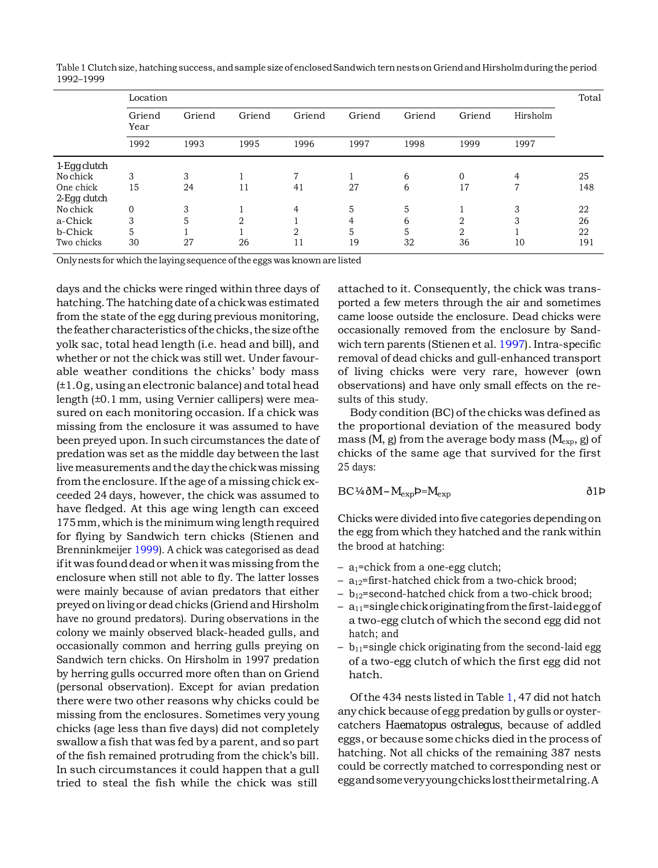<span id="page-3-0"></span>Table 1 Clutch size, hatching success, and sample size of enclosed Sandwich tern nests on Griend and Hirsholm during the period 1992–1999

|                           | Location               |                |                |                |                |                | Total          |                  |     |
|---------------------------|------------------------|----------------|----------------|----------------|----------------|----------------|----------------|------------------|-----|
|                           | Griend<br>Year<br>1992 | Griend<br>1993 | Griend<br>1995 | Griend<br>1996 | Griend<br>1997 | Griend<br>1998 | Griend<br>1999 | Hirsholm<br>1997 |     |
|                           |                        |                |                |                |                |                |                |                  |     |
| 1-Egg clutch              |                        |                |                |                |                |                |                |                  |     |
| No chick                  | 3                      | 3              |                | 7              |                | 6              | $\Omega$       | 4                | 25  |
| One chick<br>2-Egg clutch | 15                     | 24             | 11             | 41             | 27             | 6              | 17             | 7                | 148 |
| No chick                  | $\overline{0}$         | 3              |                | 4              | 5              | 5              |                | 3                | 22  |
| a-Chick                   | 3                      | 5              |                |                | 4              | 6              |                |                  | 26  |
| b-Chick                   | 5                      |                |                | റ              | 5              | 5              | റ              |                  | 22  |
| Two chicks                | 30                     | 27             | 26             | 11             | 19             | 32             | 36             | 10               | 191 |

Onlynests for which the laying sequence ofthe eggs was known are listed

days and the chicks were ringed within three days of hatching. The hatching date of a chick was estimated from the state of the egg during previous monitoring, the feather characteristics of the chicks, the size of the yolk sac, total head length (i.e. head and bill), and whether or not the chick was still wet. Under favourable weather conditions the chicks' body mass (±1.0g, using anelectronic balance) and total head length (±0.1 mm, using Vernier callipers) were measured on each monitoring occasion. If a chick was missing from the enclosure it was assumed to have been preyed upon. Insuch circumstances the date of predation was set as the middle day between the last livemeasurements andthe daythe chickwas missing from the enclosure. If the age of a missing chick exceeded 24 days, however, the chick was assumed to have fledged. At this age wing length can exceed 175mm, which is the minimum wing lengthrequired for flying by Sandwich tern chicks (Stienen and Brenninkmeijer [1999\)](#page-11-0). A chick was categorised as dead ifit was founddeador whenit was missing from the enclosure when still not able to fly. The latter losses were mainly because of avian predators that either preyed on living or dead chicks (Griend and Hirsholm have no ground predators). During observations in the colony we mainly observed black-headed gulls, and occasionally common and herring gulls preying on Sandwich tern chicks. On Hirsholm in 1997 predation by herring gulls occurred more often than on Griend (personal observation). Except for avian predation there were two other reasons why chicks could be missing from the enclosures. Sometimes very young chicks (age less than five days) did not completely swallow a fish that was fed by a parent, and so part of the fish remained protruding from the chick's bill. In such circumstances it could happen that a gull tried to steal the fish while the chick was still

attached to it. Consequently, the chick was transported a few meters through the air and sometimes came loose outside the enclosure. Dead chicks were occasionally removed from the enclosure by Sandwich tern parents (Stienen et al. [1997\)](#page-11-0). Intra-specific removal of dead chicks and gull-enhanced transport of living chicks were very rare, however (own observations) and have only small effects on the results of this study.

Body condition (BC) of the chicks was defined as the proportional deviation of the measured body mass (*M*, g) from the average body mass (*M*exp, g) of chicks of the same age that survived for the first 25 days:

$$
BC\,\%\,\delta M - M_{\rm exp} = M_{\rm exp}
$$

Chicks were divided into five categories depending on the egg from which they hatched and the rank within the brood at hatching:

- $-$  a<sub>1</sub>=chick from a one-egg clutch;
- $-$  a<sub>12</sub>=first-hatched chick from a two-chick brood;
- $b_{12}$ =second-hatched chick from a two-chick brood;
- $-$  a<sub>11</sub>=singlechick originating from the first-laidegg of a two-egg clutch of which the second egg did not hatch; and
- $b_{11}$ =single chick originating from the second-laid egg of a two-egg clutch of which the first egg did not hatch.

Of the 434 nests listed in Table [1,](#page-3-0) 47 did not hatch any chick because of egg predation by gulls or oystercatchers *Haematopus ostralegus*, because of addled eggs, or because some chicks died inthe process of hatching. Not all chicks of the remaining 387 nests could be correctly matched to corresponding nest or eggandsomeveryyoungchickslosttheirmetalring.A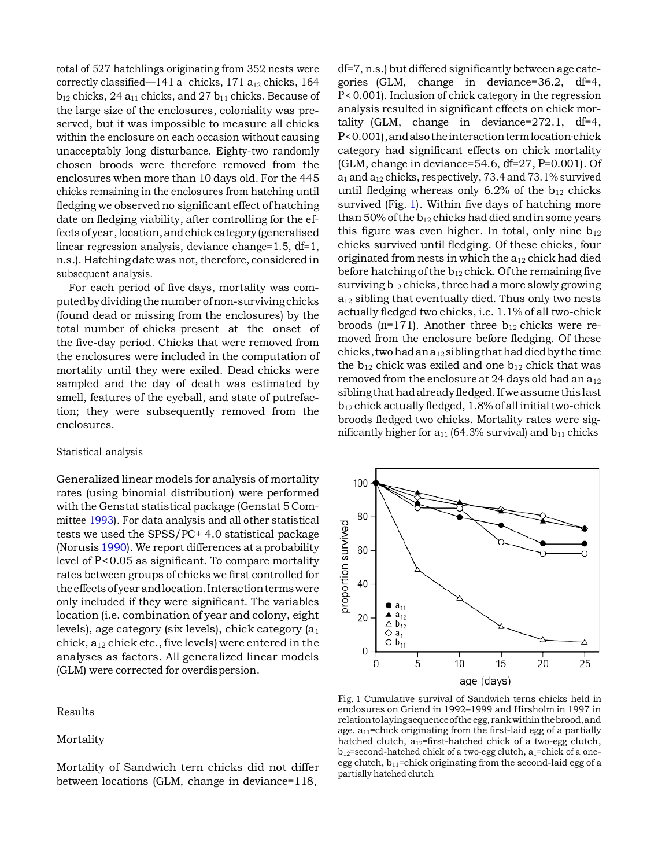total of 527 hatchlings originating from 352 nests were correctly classified—141  $a_1$  chicks, 171  $a_{12}$  chicks, 164  $b_{12}$  chicks, 24  $a_{11}$  chicks, and 27  $b_{11}$  chicks. Because of the large size of the enclosures, coloniality was preserved, but it was impossible to measure all chicks within the enclosure on each occasion without causing unacceptably long disturbance. Eighty-two randomly chosen broods were therefore removed from the enclosures when more than 10 days old. For the 445 chicks remaining in the enclosures from hatching until fledging we observed no significant effect of hatching date on fledging viability, after controlling for the effects ofyear,location,andchickcategory(generalised linear regression analysis, deviance change=1.5, *df*=1, n.s.). Hatching date was not, therefore, considered in subsequent analysis.

For each period of five days, mortality was computed by dividing the number of non-surviving chicks (found dead or missing from the enclosures) by the total number of chicks present at the onset of the five-day period. Chicks that were removed from the enclosures were included in the computation of mortality until they were exiled. Dead chicks were sampled and the day of death was estimated by smell, features of the eyeball, and state of putrefaction; they were subsequently removed from the enclosures.

## <span id="page-4-0"></span>Statistical analysis

Generalized linear models for analysis of mortality rates (using binomial distribution) were performed with the Genstat statistical package (Genstat 5 Committee [1993\)](#page-10-5). For data analysis and all other statistical tests we used the SPSS/PC+ 4.0 statistical package (Norusis [1990\)](#page-10-15). We report differences at a probability level of *P*<0.05 as significant. To compare mortality rates between groups of chicks we first controlled for theeffects ofyear andlocation.Interactiontermswere only included if they were significant. The variables location (i.e. combination of year and colony, eight levels), age category (six levels), chick category  $(a_1)$ chick, a12 chick etc., five levels) were entered in the analyses as factors. All generalized linear models (GLM) were corrected for overdispersion.

# Results

#### Mortality

Mortality of Sandwich tern chicks did not differ between locations (GLM, change in deviance=118,

*df*=7, n.s.) but differed significantly between age categories (GLM, change in deviance=36.2, *df*=4, *P* < 0.001). Inclusion of chick category in the regression analysis resulted in significant effects on chick mortality (GLM, change in deviance=272.1, *df*=4, *P*<0.001),andalsotheinteractiontermlocation·chick category had significant effects on chick mortality (GLM, change in deviance=54.6, *df*=27, *P*=0.001). Of  $a_1$  and  $a_{12}$  chicks, respectively, 73.4 and 73.1% survived until fledging whereas only 6.2% of the  $b_{12}$  chicks survived (Fig. [1\)](#page-4-0). Within five days of hatching more than 50% of the  $b_{12}$  chicks had died and in some years this figure was even higher. In total, only nine  $b_{12}$ chicks survived until fledging. Of these chicks, four originated from nests in which the  $a_{12}$  chick had died before hatching of the  $b_{12}$  chick. Of the remaining five surviving  $b_{12}$  chicks, three had a more slowly growing  $a_{12}$  sibling that eventually died. Thus only two nests actually fledged two chicks, i.e. 1.1% of all two-chick broods  $(n=171)$ . Another three  $b_{12}$  chicks were removed from the enclosure before fledging. Of these chicks, two had an  $a_{12}$  sibling that had died by the time the  $b_{12}$  chick was exiled and one  $b_{12}$  chick that was removed from the enclosure at 24 days old had an  $a_{12}$ siblingthat hadalreadyfledged.Ifwe assume this last  $b_{12}$  chick actually fledged, 1.8% of all initial two-chick broods fledged two chicks. Mortality rates were significantly higher for  $a_{11}$  (64.3% survival) and  $b_{11}$  chicks



Fig. 1 Cumulative survival of Sandwich terns chicks held in enclosures on Griend in 1992–1999 and Hirsholm in 1997 in relationtolayingsequenceofthe egg, rankwithinthebrood,and age.  $a_{11}$ =chick originating from the first-laid egg of a partially hatched clutch,  $a_{12}$ =first-hatched chick of a two-egg clutch,  $b_{12}$ =second-hatched chick of a two-egg clutch,  $a_1$ =chick of a oneegg clutch,  $b_{11}$ =chick originating from the second-laid egg of a partially hatched clutch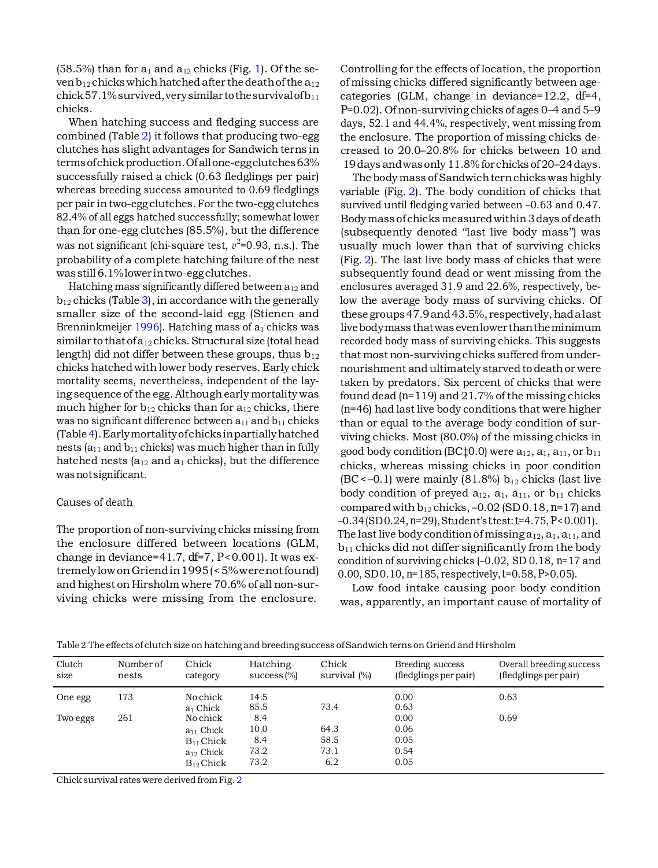$(58.5\%)$  than for  $a_1$  and  $a_{12}$  chicks (Fig. [1\)](#page-4-0). Of the seven  $b_{12}$  chicks which hatched after the death of the  $a_{12}$  $chick 57.1\%$ survived, very similar to the survival of  $b_{11}$ chicks.

When hatching success and fledging success are combined (Table [2\)](#page-5-0) it follows that producing two-egg clutches has slight advantages for Sandwich terns in terms of chick production. Of all one-egg clutches 63% successfully raised a chick (0.63 fledglings per pair) whereas breeding success amounted to 0.69 fledglings per pair intwo-egg clutches. For the two-egg clutches 82.4% of all eggs hatched successfully; somewhat lower than for one-egg clutches (85.5%), but the difference was not significant (chi-square test,  $v^2$ =0.93, n.s.). The probability of a complete hatching failure of the nest wasstill6.1%lower intwo-eggclutches.

<span id="page-5-0"></span>Hatching mass significantly differed between  $a_{12}$  and  $b_{12}$  chicks (Table [3\)](#page-6-0), in accordance with the generally smaller size of the second-laid egg (Stienen and Brenninkmeijer [1996\)](#page-11-0). Hatching mass of  $a_1$  chicks was similar to that of  $a_{12}$  chicks. Structural size (total head length) did not differ between these groups, thus  $b_{12}$ chicks hatched with lower body reserves. Early chick mortality seems, nevertheless, independent of the laying sequence of the egg.Althoughearly mortality was much higher for  $b_{12}$  chicks than for  $a_{12}$  chicks, there was no significant difference between  $a_{11}$  and  $b_{11}$  chicks (Tabl[e4\)](#page-6-0).Earlymortalityofchicksinpartiallyhatched nests ( $a_{11}$  and  $b_{11}$  chicks) was much higher than in fully hatched nests ( $a_{12}$  and  $a_1$  chicks), but the difference wasnotsignificant.

## Causes of death

The proportion of non-surviving chicks missing from the enclosure differed between locations (GLM, change in deviance=41.7, *df*=7, *P*<0.001). It was extremelylowonGriendin1995(<5%werenotfound) and highest on Hirsholm where 70.6% of all non-surviving chicks were missing from the enclosure.

Controlling for the effects of location, the proportion of missing chicks differed significantly between agecategories (GLM, change in deviance=12.2, *df*=4, *P*=0.02). Of non-surviving chicks of ages 0–4 and 5–9 days, 52.1 and 44.4%, respectively, went missing from the enclosure. The proportion of missing chicks decreased to 20.0–20.8% for chicks between 10 and 19days andwasonly 11.8%forchicks of 20–24days.

The body mass of Sandwich tern chicks was highly variable (Fig. [2\)](#page-6-1). The body condition of chicks that survived until fledging varied between –0.63 and 0.47. Bodymass ofchicksmeasuredwithin3days of death (subsequently denoted ''last live body mass'') was usually much lower than that of surviving chicks (Fig. [2\)](#page-6-1). The last live body mass of chicks that were subsequently found dead or went missing from the enclosures averaged 31.9 and 22.6%, respectively, below the average body mass of surviving chicks. Of these groups47.9and43.5%, respectively,hadalast livebodymass thatwas evenlower thantheminimum recorded body mass of surviving chicks. This suggests that most non-surviving chicks suffered from undernourishment andultimately starved to deathor were taken by predators. Six percent of chicks that were found dead (*n*=119) and 21.7% of the missing chicks (*n*=46) had last live body conditions that were higher than or equal to the average body condition of surviving chicks. Most (80.0%) of the missing chicks in good body condition (BC $\ddagger$ 0.0) were  $a_{12}$ ,  $a_{11}$ , a<sub>11</sub>, or  $b_{11}$ chicks, whereas missing chicks in poor condition  $(BC < -0.1)$  were mainly  $(81.8\%) b_{12}$  chicks (last live body condition of preyed  $a_{12}$ ,  $a_{11}$ , a<sub>11</sub>, or  $b_{11}$  chicks compared with b12 chicks, –0.02 (SD 0.18, *n*=17) and –0.34(SD0.24,*n*=29),Student's*t*test:*t*=4.75, *P*<0.001). The last live body condition of missing  $a_{12}$ ,  $a_{11}$ , and  $b_{11}$  chicks did not differ significantly from the body condition of surviving chicks (–0.02, SD 0.18, *n*=17 and 0.00, SD0.10, *n*=185, respectively,*t*=0.58, *P*>0.05).

Low food intake causing poor body condition was, apparently, an important cause of mortality of

Table 2 The effects of clutch size on hatching and breeding success ofSandwich terns on Griend and Hirsholm

| Clutch<br>size | Number of<br>nests | Chick<br>category       | Hatching<br>success $\frac{1}{2}$ | Chick<br>survival (%) | Breeding success<br>(fledglings per pair) | Overall breeding success<br>(fledglings per pair) |
|----------------|--------------------|-------------------------|-----------------------------------|-----------------------|-------------------------------------------|---------------------------------------------------|
| One egg        | 173                | No chick<br>$a_1$ Chick | 14.5<br>85.5                      | 73.4                  | 0.00<br>0.63                              | 0.63                                              |
| Two eggs       | 261                | No chick                | 8.4                               |                       | 0.00                                      | 0.69                                              |
|                |                    | $a_{11}$ Chick          | 10.0                              | 64.3                  | 0.06                                      |                                                   |
|                |                    | $B_{11}$ Chick          | 8.4                               | 58.5                  | 0.05                                      |                                                   |
|                |                    | $a_{12}$ Chick          | 73.2                              | 73.1                  | 0.54                                      |                                                   |
|                |                    | $B_{12}$ Chick          | 73.2                              | 6.2                   | 0.05                                      |                                                   |

Chick survival rates were derived fromFig. [2](#page-6-1)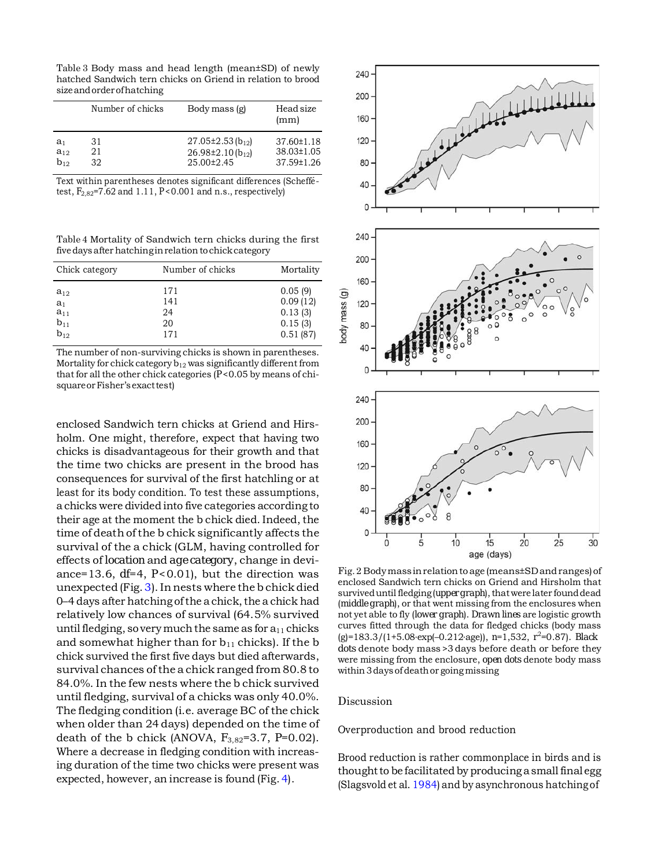<span id="page-6-0"></span>Table 3 Body mass and head length (mean±SD) of newly hatched Sandwich tern chicks on Griend in relation to brood sizeandorderofhatching

|                | Number of chicks | Body mass (g)          | Head size<br>(mm) |
|----------------|------------------|------------------------|-------------------|
| a <sub>1</sub> | 31               | $27.05\pm2.53(b_{12})$ | $37.60 \pm 1.18$  |
| $a_{12}$       | 21               | $26.98\pm2.10(b_{12})$ | 38.03±1.05        |
| $b_{12}$       | 32               | 25.00±2.45             | 37.59±1.26        |

Text within parentheses denotes significant differences (Scheffetest,  $F_{2.82}$ =7.62 and 1.11,  $P < 0.001$  and n.s., respectively)

<span id="page-6-1"></span>Table 4 Mortality of Sandwich tern chicks during the first fivedaysafter hatchinginrelation tochickcategory

| Chick category                                                               | Number of chicks              | Mortality                                             |
|------------------------------------------------------------------------------|-------------------------------|-------------------------------------------------------|
| $a_{12}$<br>$\begin{array}{l} a_1 \\ a_{11} \\ b_{11} \\ b_{12} \end{array}$ | 171<br>141<br>24<br>20<br>171 | 0.05(9)<br>0.09(12)<br>0.13(3)<br>0.15(3)<br>0.51(87) |

The number of non-surviving chicks is shown in parentheses. Mortality for chick category  $b_{12}$  was significantly different from that for all the other chick categories ( $P < 0.05$  by means of chisquare or Fisher's exact test)

enclosed Sandwich tern chicks at Griend and Hirsholm. One might, therefore, expect that having two chicks is disadvantageous for their growth and that the time two chicks are present in the brood has consequences for survival of the first hatchling or at least for its body condition. To test these assumptions, a chicks were divided into five categories according to their age at the moment the b chick died. Indeed, the time of death of the b chick significantly affects the survival of the a chick (GLM, having controlled for effects of *location* and *age category*, change in deviance=13.6,  $df=4$ ,  $P<0.01$ ), but the direction was unexpected (Fig.  $3$ ). In nests where the b chick died  $0-4$  days after hatching of the a chick, the a chick had relatively low chances of survival (64.5% survived until fledging, so very much the same as for  $a_{11}$  chicks and somewhat higher than for  $b_{11}$  chicks). If the b chick survived the first five days but died afterwards, survival chances ofthe a chick ranged from 80.8 to 84.0%. In the few nests where the b chick survived until fledging, survival of a chicks was only 40.0%. The fledging condition (i.e. average BC of the chick when older than 24 days) depended on the time of death of the b chick (ANOVA, *F*3,82=3.7, *P*=0.02). Where a decrease in fledging condition with increasing duration of the time two chicks were present was expected, however, an increase is found (Fig. [4\)](#page-7-1).



Fig.2 Bodymassinrelationto age (means±SDandranges)of enclosed Sandwich tern chicks on Griend and Hirsholm that survived until fledging (*upper graph*), that were later found dead (*middle graph*), or that went missing from the enclosures when not yet able to fly (*lower graph*). *Drawn lines* are logistic growth curves fitted through the data for fledged chicks (body mass (g)=183.3/(1+5.08·exp(–0.212·age)), *n*=1,532, *r*<sup>2</sup> =0.87). *Black dots* denote body mass>3 days before death or before they were missing from the enclosure, *open dots* denote body mass within 3daysof deathor goingmissing

Discussion

Overproduction and brood reduction

Brood reduction is rather commonplace in birds and is thought to be facilitated by producing a small final egg (Slagsvold et al. [1984\)](#page-11-0) and by asynchronous hatchingof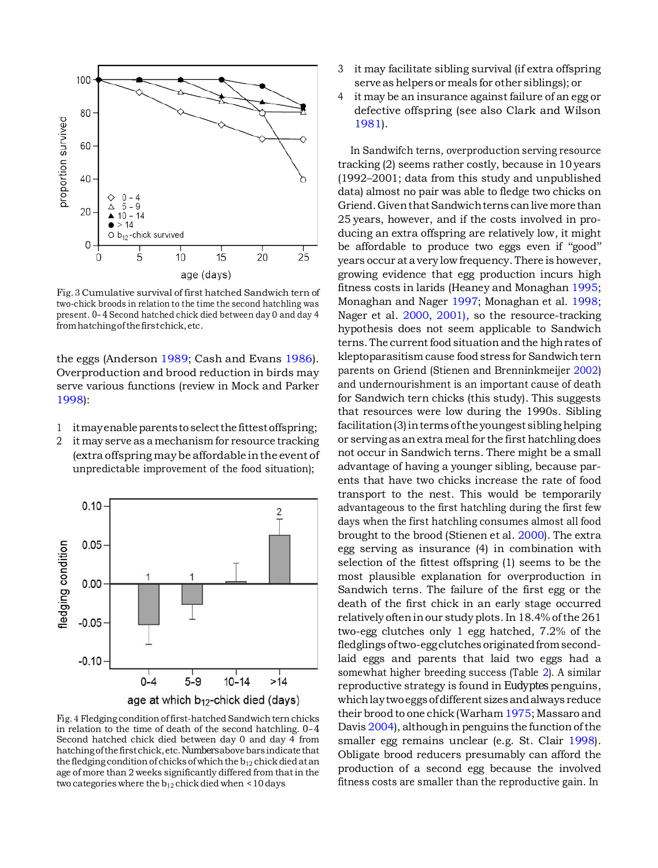

<span id="page-7-0"></span>Fig.3 Cumulative survival of first hatched Sandwich tern of two-chick broods in relation to the time the second hatchling was present. *0–4* Second hatched chick died between day 0 and day 4 from hatching of the first chick, etc.

the eggs (Anderson [1989;](#page-10-5) Cash and Evans [1986\)](#page-10-2). Overproduction and brood reduction in birds may serve various functions (review in Mock and Parker [1998\)](#page-10-12):

- 1 itmay enable parents to select the fittest offspring;
- 2 it may serve as a mechanism for resource tracking (extra offspring maybe affordable inthe event of unpredictable improvement of the food situation);



Fig. 4 Fledging condition of first-hatched Sandwich tern chicks in relation to the time of death of the second hatchling. *0–4* Second hatched chick died between day 0 and day 4 from hatchingofthe firstchick,etc.*Numbers*abovebars indicate that the fledging condition of chicks of which the  $b_{12}$  chick died at an age of more than 2 weeks significantly differed from that in the two categories where the  $b_{12}$  chick died when <10 days

- 3 it may facilitate sibling survival (if extra offspring serve as helpers or meals for other siblings); or
- 4 it may be an insurance against failure of an egg or defective offspring (see also Clark and Wilson [1981\)](#page-10-10).

<span id="page-7-1"></span>In Sandwifch terns, overproduction serving resource tracking (2) seems rather costly, because in 10 years (1992–2001; data from this study and unpublished data) almost no pair was able to fledge two chicks on Griend.GiventhatSandwichterns canlivemore than 25 years, however, and if the costs involved in producing an extra offspring are relatively low, it might be affordable to produce two eggs even if ''good'' years occur at a very low frequency. There is however, growing evidence that egg production incurs high fitness costs in larids (Heaney and Monaghan [1995;](#page-10-5) Monaghan and Nager [1997;](#page-10-13) Monaghan et al. [1998;](#page-10-6) Nager et al. [2000,](#page-10-4) [2001\),](#page-10-7) so the resource-tracking hypothesis does not seem applicable to Sandwich terns. The current food situation and the high rates of kleptoparasitism cause food stress for Sandwichtern parents on Griend (Stienen and Brenninkmeijer [2002\)](#page-11-1) and undernourishment is an important cause of death for Sandwich tern chicks (this study). This suggests that resources were low during the 1990s. Sibling facilitation (3) in terms of the youngest sibling helping or serving as anextra meal for the first hatchling does not occur in Sandwich terns. There might be a small advantage of having a younger sibling, because parents that have two chicks increase the rate of food transport to the nest. This would be temporarily advantageous to the first hatchling during the first few days when the first hatchling consumes almost all food brought to the brood (Stienen et al. [2000\)](#page-11-0). The extra egg serving as insurance (4) in combination with selection of the fittest offspring (1) seems to be the most plausible explanation for overproduction in Sandwich terns. The failure of the first egg or the death of the first chick in an early stage occurred relatively ofteninour study plots.In 18.4% ofthe 261 two-egg clutches only 1 egg hatched, 7.2% of the fledglings of two-egg clutches originated from secondlaid eggs and parents that laid two eggs had a somewhat higher breeding success (Table [2\)](#page-5-0). A similar reproductive strategy is found in *Eudyptes* penguins, whichlaytwoeggs ofdifferent sizes andalways reduce their brood to one chick (Warham [1975;](#page-11-0) Massaro and Davis  $2004$ ), although in penguins the function of the smaller egg remains unclear (e.g. St. Clair [1998\)](#page-11-0). Obligate brood reducers presumably can afford the production of a second egg because the involved fitness costs are smaller than the reproductive gain. In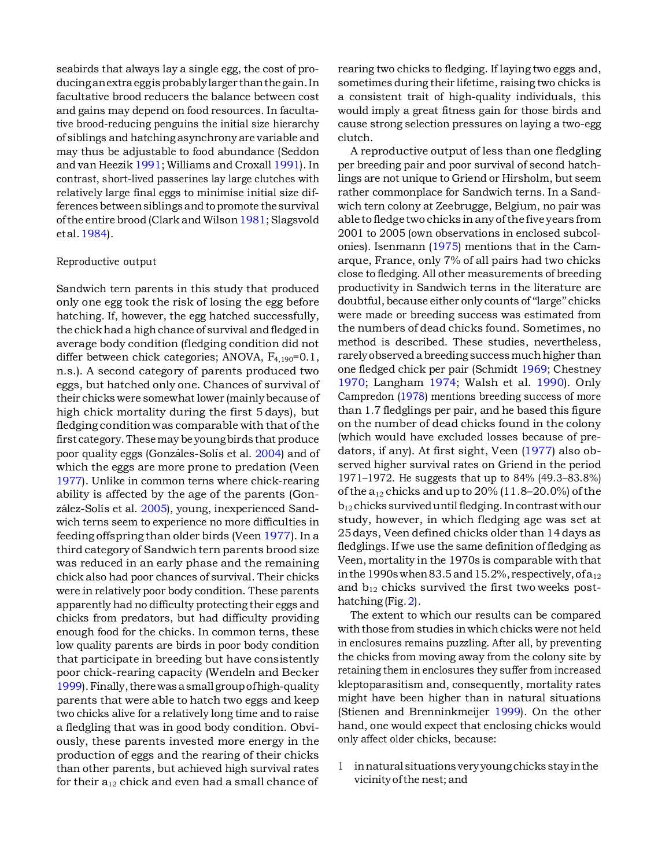seabirds that always lay a single egg, the cost of producinganextraeggisprobablylarger thanthe gain.In facultative brood reducers the balance between cost and gains may depend on food resources. In facultative brood-reducing penguins the initial size hierarchy of siblings and hatching asynchrony are variable and may thus be adjustable to food abundance (Seddon and van Heezik [1991;](#page-11-0) Williams and Croxall [1991\)](#page-11-0). In contrast, short-lived passerines lay large clutches with relatively large final eggs to minimise initial size differences between siblings and to promote the survival of the entire brood (Clark and Wilson 1981; Slagsvold etal[.1984\)](#page-11-0).

## Reproductive output

Sandwich tern parents in this study that produced only one egg took the risk of losing the egg before hatching. If, however, the egg hatched successfully, the chick had a high chance of survival and fledged in average body condition (fledging condition did not differ between chick categories; ANOVA, *F*4,190=0.1, n.s.). A second category of parents produced two eggs, but hatched only one. Chances of survival of their chicks were somewhat lower (mainly because of high chick mortality during the first 5 days), but fledging condition was comparable with that of the first category. Thesemay be youngbirds that produce poor quality eggs (Gonzáles-Solís et al. [2004\)](#page-10-5) and of which the eggs are more prone to predation (Veen [1977\)](#page-11-0). Unlike in common terns where chick-rearing ability is affected by the age of the parents (Gon-zález-Solís et al. [2005\),](#page-10-5) young, inexperienced Sandwich terns seem to experience no more difficulties in feeding offspring than older birds (Veen [1977\)](#page-11-0). In a third category of Sandwich tern parents brood size was reduced in an early phase and the remaining chick also had poor chances of survival. Their chicks were in relatively poor body condition. These parents apparently had no difficulty protecting their eggs and chicks from predators, but had difficulty providing enough food for the chicks. In common terns, these low quality parents are birds in poor body condition that participate in breeding but have consistently poor chick-rearing capacity (Wendeln and Becker [1999\)](#page-11-0).Finally,therewas asmall groupofhigh-quality parents that were able to hatch two eggs and keep two chicks alive for a relatively long time and to raise a fledgling that was in good body condition. Obviously, these parents invested more energy in the production of eggs and the rearing of their chicks than other parents, but achieved high survival rates for their a12 chick and even had a small chance of rearing two chicks to fledging. If laying two eggs and, sometimes during their lifetime, raising two chicks is a consistent trait of high-quality individuals, this would imply a great fitness gain for those birds and cause strong selection pressures on laying a two-egg clutch.

A reproductive output of less than one fledgling per breeding pair and poor survival of second hatchlings are not unique to Griend or Hirsholm, but seem rather commonplace for Sandwich terns. In a Sandwich tern colony at Zeebrugge, Belgium, no pair was ableto fledgetwo chicks inanyofthefiveyears from 2001 to 2005 (own observations in enclosed subcolonies). Isenmann [\(1975\)](#page-10-5) mentions that in the Camarque, France, only 7% of all pairs had two chicks close to fledging. All other measurements of breeding productivity in Sandwich terns in the literature are doubtful, because either only counts of ''large'' chicks were made or breeding success was estimated from the numbers of dead chicks found. Sometimes, no method is described. These studies, nevertheless, rarely observed a breeding success much higher than one fledged chick per pair (Schmidt [1969;](#page-11-0) Chestney [1970;](#page-10-7) Langham [1974;](#page-10-5) Walsh et al. [1990\)](#page-11-0). Only Campredon [\(1978\)](#page-10-16) mentions breeding success of more than 1.7 fledglings per pair, and he based this figure on the number of dead chicks found in the colony (which would have excluded losses because of predators, if any). At first sight, Veen [\(1977\)](#page-11-0) also observed higher survival rates on Griend in the period 1971–1972. He suggests that up to 84% (49.3–83.8%) of the  $a_{12}$  chicks and up to  $20\%$  (11.8–20.0%) of the  $b_{12}$  chicks survived until fledging. In contrast with our study, however, in which fledging age was set at 25days, Veen defined chicks older than 14days as fledglings. If we use the same definition of fledging as Veen, mortality in the 1970s is comparable with that in the 1990s when 83.5 and 15.2%, respectively, of  $a_{12}$ and  $b_{12}$  chicks survived the first two weeks posthatching (Fig. 2).

The extent to which our results can be compared with those from studies in which chicks were not held in enclosures remains puzzling. After all, by preventing the chicks from moving away from the colony site by retaining them in enclosures they suffer from increased kleptoparasitism and, consequently, mortality rates might have been higher than in natural situations (Stienen and Brenninkmeijer [1999\)](#page-11-0). On the other hand, one would expect that enclosing chicks would only affect older chicks, because:

1 innatural situations veryyoungchicks stayinthe vicinityofthe nest; and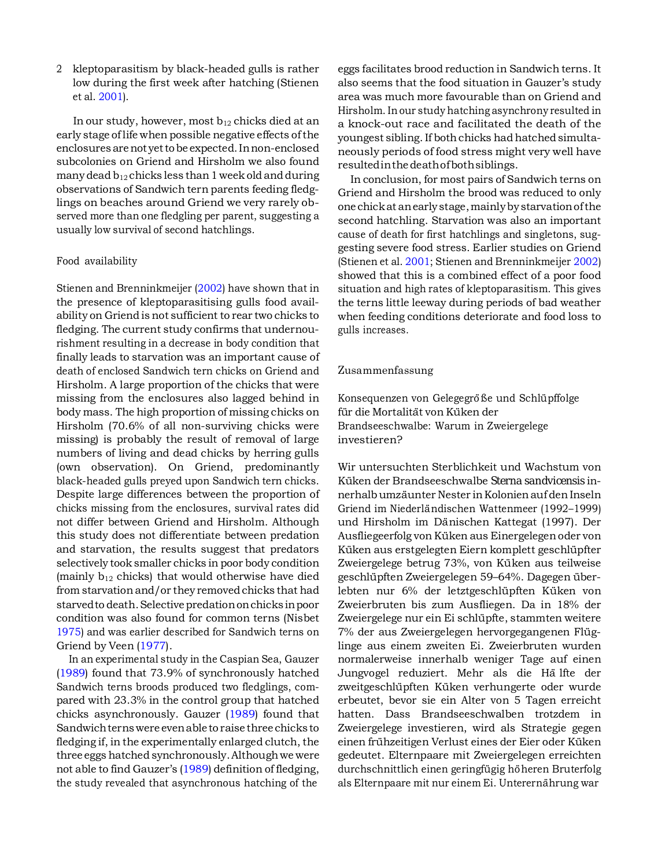2 kleptoparasitism by black-headed gulls is rather low during the first week after hatching (Stienen et al. [2001\).](#page-11-0)

In our study, however, most  $b_{12}$  chicks died at an early stage of life when possible negative effects ofthe enclosures arenot yettobe expected.Innon-enclosed subcolonies on Griend and Hirsholm we also found many dead  $b_{12}$  chicks less than 1 week old and during observations of Sandwich tern parents feeding fledglings on beaches around Griend we very rarely observed more than one fledgling per parent, suggesting a usually low survival of second hatchlings.

## Food availability

Stienen and Brenninkmeijer [\(2002\)](#page-11-1) have shown that in the presence of kleptoparasitising gulls food availability on Griend is not sufficient to rear two chicks to fledging. The current study confirms that undernourishment resulting in a decrease in body condition that finally leads to starvation was an important cause of death of enclosed Sandwich tern chicks on Griend and Hirsholm. A large proportion of the chicks that were missing from the enclosures also lagged behind in body mass. The high proportion of missing chicks on Hirsholm (70.6% of all non-surviving chicks were missing) is probably the result of removal of large numbers of living and dead chicks by herring gulls (own observation). On Griend, predominantly black-headed gulls preyed upon Sandwich tern chicks. Despite large differences between the proportion of chicks missing from the enclosures, survival rates did not differ between Griend and Hirsholm. Although this study does not differentiate between predation and starvation, the results suggest that predators selectively took smaller chicks in poor body condition (mainly  $b_{12}$  chicks) that would otherwise have died from starvationand/or they removed chicks that had starved to death. Selective predation on chicks in poor condition was also found for common terns (Nisbet [1975\)](#page-10-10) and was earlier described for Sandwich terns on Griend by Veen [\(1977\)](#page-11-0).

In an experimental study in the Caspian Sea, Gauzer [\(1989\)](#page-10-5) found that 73.9% of synchronously hatched Sandwich terns broods produced two fledglings, compared with 23.3% in the control group that hatched chicks asynchronously. Gauzer [\(1989\)](#page-10-5) found that Sandwichternswere evenable to raise three chicks to fledging if, in the experimentally enlarged clutch, the three eggs hatched synchronously.Althoughwe were not able to find Gauzer's [\(1989\)](#page-10-5) definition of fledging, the study revealed that asynchronous hatching of the

eggs facilitates brood reduction in Sandwich terns. It also seems that the food situation in Gauzer's study area was much more favourable than on Griend and Hirsholm. In our study hatching asynchrony resulted in a knock-out race and facilitated the death of the youngest sibling. If both chicks had hatched simultaneously periods of food stress might very well have resultedinthedeathofbothsiblings.

In conclusion, for most pairs of Sandwich terns on Griend and Hirsholm the brood was reduced to only one chickat anearlystage,mainlybystarvationofthe second hatchling. Starvation was also an important cause of death for first hatchlings and singletons, suggesting severe food stress. Earlier studies on Griend (Stienen et al. [2001;](#page-11-0) Stienen and Brenninkmeijer [2002\)](#page-11-1) showed that this is a combined effect of a poor food situation and high rates of kleptoparasitism. This gives the terns little leeway during periods of bad weather when feeding conditions deteriorate and food loss to gulls increases.

## Zusammenfassung

Konsequenzen von Gelegegröße und Schlüpffolge für die Mortalität von Küken der Brandseeschwalbe: Warum in Zweiergelege investieren?

Wir untersuchten Sterblichkeit und Wachstum von Küken der Brandseeschwalbe *Sterna sandvicensis* innerhalb umzäunter Nester in Kolonien auf den Inseln Griend im Niederländischen Wattenmeer (1992–1999) und Hirsholm im Dänischen Kattegat (1997). Der Ausfliegeerfolg von Küken aus Einergelegen oder von Küken aus erstgelegten Eiern komplett geschlüpfter Zweiergelege betrug 73%, von Küken aus teilweise geschlüpften Zweiergelegen 59–64%. Dagegen überlebten nur 6% der letztgeschlüpften Küken von Zweierbruten bis zum Ausfliegen. Da in 18% der Zweiergelege nur ein Ei schlüpfte, stammten weitere 7% der aus Zweiergelegen hervorgegangenen Flüglinge aus einem zweiten Ei. Zweierbruten wurden normalerweise innerhalb weniger Tage auf einen Jungvogel reduziert. Mehr als die Ha¨ lfte der zweitgeschlüpften Küken verhungerte oder wurde erbeutet, bevor sie ein Alter von 5 Tagen erreicht hatten. Dass Brandseeschwalben trotzdem in Zweiergelege investieren, wird als Strategie gegen einen frühzeitigen Verlust eines der Eier oder Küken gedeutet. Elternpaare mit Zweiergelegen erreichten durchschnittlich einen geringfügig höheren Bruterfolg als Elternpaare mit nur einem Ei. Unterernährung war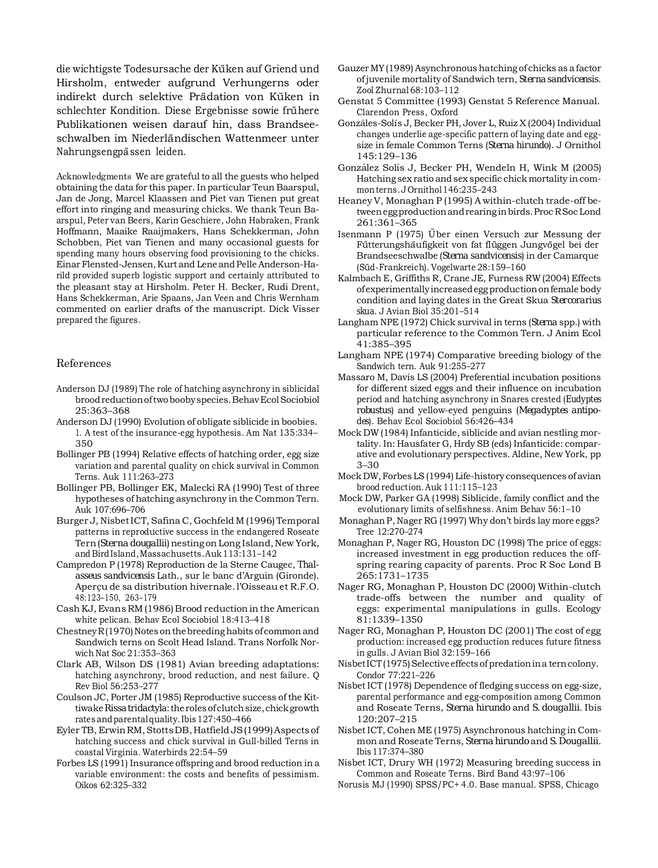<span id="page-10-5"></span><span id="page-10-3"></span><span id="page-10-1"></span>die wichtigste Todesursache der Küken auf Griend und Hirsholm, entweder aufgrund Verhungerns oder indirekt durch selektive Prädation von Küken in schlechter Kondition. Diese Ergebnisse sowie frühere Publikationen weisen darauf hin, dass Brandseeschwalben im Niederländischen Wattenmeer unter Nahrungsengpässen leiden.

<span id="page-10-16"></span><span id="page-10-14"></span><span id="page-10-13"></span><span id="page-10-12"></span><span id="page-10-8"></span><span id="page-10-6"></span><span id="page-10-4"></span>Acknowledgments We are grateful to all the guests who helped obtaining the data for this paper. In particular Teun Baarspul, Jan de Jong, Marcel Klaassen and Piet van Tienen put great effort into ringing and measuring chicks. We thank Teun Baarspul, Peter van Beers, Karin Geschiere, John Habraken, Frank Hoffmann, Maaike Raaijmakers, Hans Schekkerman, John Schobben, Piet van Tienen and many occasional guests for spending many hours observing food provisioning to the chicks. Einar Flensted-Jensen, Kurtand Leneand Pelle Anderson-Harild provided superb logistic support and certainly attributed to the pleasant stay at Hirsholm. Peter H. Becker, Rudi Drent, Hans Schekkerman, Arie Spaans, Jan Veen and Chris Wernham commented on earlier drafts of the manuscript. Dick Visser prepared the figures.

## <span id="page-10-10"></span><span id="page-10-7"></span><span id="page-10-2"></span>References

- <span id="page-10-9"></span>Anderson DJ (1989) The role of hatching asynchrony in siblicidal broodreductionoftwoboobyspecies.BehavEcolSociobiol 25:363–368
- <span id="page-10-11"></span>Anderson DJ (1990) Evolution of obligate siblicide in boobies. 1. A test of the insurance-egg hypothesis. Am Nat 135:334– 350
- <span id="page-10-15"></span><span id="page-10-0"></span>Bollinger PB (1994) Relative effects of hatching order, egg size variation and parental quality on chick survival in Common Terns. Auk 111:263–273
- Bollinger PB, Bollinger EK, Malecki RA (1990) Test of three hypotheses of hatching asynchrony in the Common Tern. Auk 107:696–706
- Burger J, NisbetICT, Safina C, Gochfeld M (1996) Temporal patterns in reproductive success in the endangered Roseate Tern (*Sterna dougallii*) nesting on Long Island, New York, and BirdIsland,Massachusetts.Auk113:131–142
- Campredon P (1978) Reproduction de la Sterne Caugec, *Thalasseus sandvicensis* Lath., sur le banc d'Arguin (Gironde). Aperçu de sa distribution hivernale. l'Oisseau et R.F.O. 48:123–150, 263–179
- Cash KJ, Evans RM (1986) Brood reduction in the American white pelican. Behav Ecol Sociobiol 18:413–418
- $ChestneyR(1970)$  Notes on the breeding habits of common and Sandwich terns on Scolt Head Island. Trans Norfolk Norwich Nat Soc 21:353–363
- Clark AB, Wilson DS (1981) Avian breeding adaptations: hatching asynchrony, brood reduction, and nest failure. Q Rev Biol 56:253–277
- Coulson JC, Porter JM (1985) Reproductive success of the Kittiwake Rissa tridactyla: the roles of clutch size, chick growth rates andparentalquality.Ibis127:450–466
- Eyler TB, Erwin RM, Stotts DB, Hatfield JS (1999) Aspects of hatching success and chick survival in Gull-billed Terns in coastal Virginia. Waterbirds 22:54–59
- Forbes LS (1991) Insurance offspring and brood reduction in a variable environment: the costs and benefits of pessimism. Oikos 62:325–332
- Gauzer MY(1989) Asynchronous hatching of chicks as a factor ofjuvenile mortality of Sandwich tern, *Sterna sandvicensis*. Zool Zhurnal 68:103–112
- Genstat 5 Committee (1993) Genstat 5 Reference Manual. Clarendon Press, Oxford
- Gonzáles-Solís J, Becker PH, Jover L, Ruiz X (2004) Individual changes underlie age-specific pattern of laying date and eggsize in female Common Terns (*Sterna hirundo*). J Ornithol 145:129–136
- González Solís J, Becker PH, Wendeln H, Wink M (2005) Hatching sex ratio and sex specific chick mortality in commonterns. J Ornithol 146:235-243
- Heaney V, Monaghan P (1995) A within-clutch trade-off betweeneggproductionandrearing inbirds.Proc RSoc Lond 261:361–365
- Isenmann P (1975) Über einen Versuch zur Messung der Fütterungshäufigkeit von fat flüggen Jungvögel bei der Brandseeschwalbe (*Sterna sandvicensis*) in der Camarque (Süd-Frankreich). Vogelwarte 28:159-160
- Kalmbach E, Griffiths R, Crane JE, Furness RW (2004) Effects ofexperimentallyincreasedegg productiononfemale body condition and laying dates in the Great Skua *Stercorarius skua*. J Avian Biol 35:201–514
- Langham NPE (1972) Chick survival in terns (*Sterna* spp.) with particular reference to the Common Tern. J Anim Ecol 41:385–395
- Langham NPE (1974) Comparative breeding biology of the Sandwich tern. Auk 91:255–277
- Massaro M, Davis LS (2004) Preferential incubation positions for different sized eggs and their influence on incubation period and hatching asynchrony in Snares crested (*Eudyptes robustus*) and yellow-eyed penguins (*Megadyptes antipodes*). Behav Ecol Sociobiol 56:426–434
- Mock DW (1984) Infanticide, siblicide and avian nestling mortality. In: Hausfater G, Hrdy SB (eds) Infanticide: comparative and evolutionary perspectives. Aldine, New York, pp 3–30
- Mock DW,Forbes LS (1994) Life-history consequences of avian brood reduction.Auk 111:115–123
- Mock DW, Parker GA (1998) Siblicide, family conflict and the evolutionary limits of selfishness. Anim Behav 56:1–10
- Monaghan P, Nager RG (1997) Why don't birds lay more eggs? Tree 12:270–274
- Monaghan P, Nager RG, Houston DC (1998) The price of eggs: increased investment in egg production reduces the offspring rearing capacity of parents. Proc R Soc Lond B 265:1731–1735
- Nager RG, Monaghan P, Houston DC (2000) Within-clutch trade-offs between the number and quality of eggs: experimental manipulations in gulls. Ecology 81:1339–1350
- Nager RG, Monaghan P, Houston DC (2001) The cost of egg production: increased egg production reduces future fitness in gulls. J Avian Biol 32:159–166
- NisbetICT(1975) Selective effects of predation in a tern colony. Condor 77:221–226
- NisbetICT (1978) Dependence of fledging success on egg-size, parental performance and egg-composition among Common and Roseate Terns, *Sterna hirundo* and *S. dougallii*. Ibis 120:207–215
- NisbetICT, Cohen ME (1975) Asynchronous hatching in Common and Roseate Terns, *Sterna hirundo* and *S.Dougallii*. Ibis117:374–380
- Nisbet ICT, Drury WH (1972) Measuring breeding success in Common and Roseate Terns. Bird Band 43:97–106
- Norusis MJ (1990) SPSS/PC+ 4.0. Base manual. SPSS, Chicago